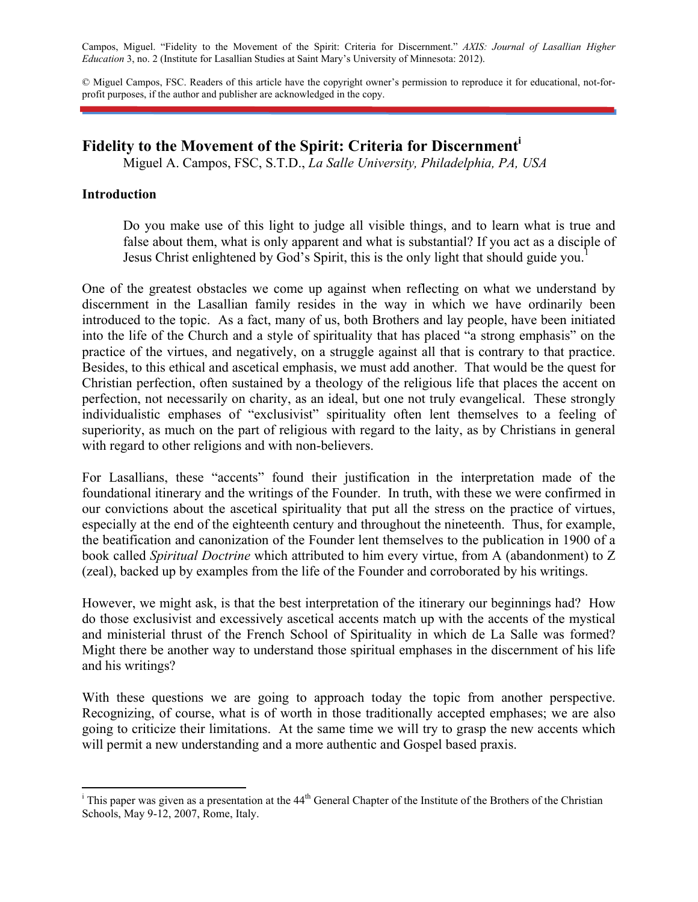Campos, Miguel. "Fidelity to the Movement of the Spirit: Criteria for Discernment." *AXIS: Journal of Lasallian Higher Education* 3, no. 2 (Institute for Lasallian Studies at Saint Mary's University of Minnesota: 2012).

© Miguel Campos, FSC. Readers of this article have the copyright owner's permission to reproduce it for educational, not-forprofit purposes, if the author and publisher are acknowledged in the copy.

# **Fidelity to the Movement of the Spirit: Criteria for Discernment<sup>i</sup>**

Miguel A. Campos, FSC, S.T.D., *La Salle University, Philadelphia, PA, USA*

### **Introduction**

Do you make use of this light to judge all visible things, and to learn what is true and false about them, what is only apparent and what is substantial? If you act as a disciple of Jesus Christ enlightened by God's Spirit, this is the only light that should guide you.<sup>1</sup>

One of the greatest obstacles we come up against when reflecting on what we understand by discernment in the Lasallian family resides in the way in which we have ordinarily been introduced to the topic. As a fact, many of us, both Brothers and lay people, have been initiated into the life of the Church and a style of spirituality that has placed "a strong emphasis" on the practice of the virtues, and negatively, on a struggle against all that is contrary to that practice. Besides, to this ethical and ascetical emphasis, we must add another. That would be the quest for Christian perfection, often sustained by a theology of the religious life that places the accent on perfection, not necessarily on charity, as an ideal, but one not truly evangelical. These strongly individualistic emphases of "exclusivist" spirituality often lent themselves to a feeling of superiority, as much on the part of religious with regard to the laity, as by Christians in general with regard to other religions and with non-believers.

For Lasallians, these "accents" found their justification in the interpretation made of the foundational itinerary and the writings of the Founder. In truth, with these we were confirmed in our convictions about the ascetical spirituality that put all the stress on the practice of virtues, especially at the end of the eighteenth century and throughout the nineteenth. Thus, for example, the beatification and canonization of the Founder lent themselves to the publication in 1900 of a book called *Spiritual Doctrine* which attributed to him every virtue, from A (abandonment) to Z (zeal), backed up by examples from the life of the Founder and corroborated by his writings.

However, we might ask, is that the best interpretation of the itinerary our beginnings had? How do those exclusivist and excessively ascetical accents match up with the accents of the mystical and ministerial thrust of the French School of Spirituality in which de La Salle was formed? Might there be another way to understand those spiritual emphases in the discernment of his life and his writings?

With these questions we are going to approach today the topic from another perspective. Recognizing, of course, what is of worth in those traditionally accepted emphases; we are also going to criticize their limitations. At the same time we will try to grasp the new accents which will permit a new understanding and a more authentic and Gospel based praxis.

<sup>&</sup>lt;sup>i</sup> This paper was given as a presentation at the 44<sup>th</sup> General Chapter of the Institute of the Brothers of the Christian Schools, May 9-12, 2007, Rome, Italy.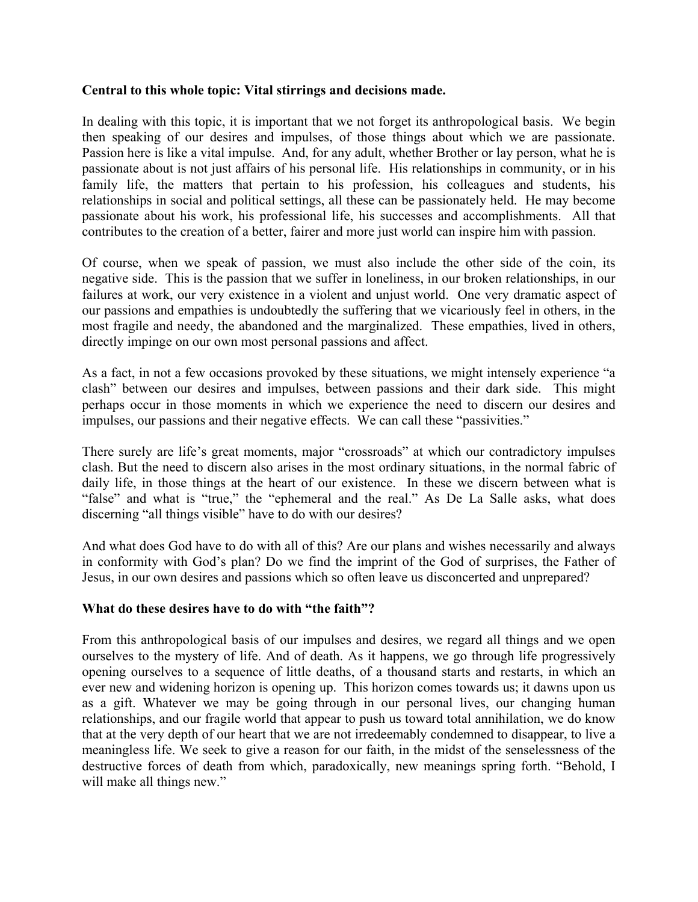# **Central to this whole topic: Vital stirrings and decisions made.**

In dealing with this topic, it is important that we not forget its anthropological basis. We begin then speaking of our desires and impulses, of those things about which we are passionate. Passion here is like a vital impulse. And, for any adult, whether Brother or lay person, what he is passionate about is not just affairs of his personal life. His relationships in community, or in his family life, the matters that pertain to his profession, his colleagues and students, his relationships in social and political settings, all these can be passionately held. He may become passionate about his work, his professional life, his successes and accomplishments. All that contributes to the creation of a better, fairer and more just world can inspire him with passion.

Of course, when we speak of passion, we must also include the other side of the coin, its negative side. This is the passion that we suffer in loneliness, in our broken relationships, in our failures at work, our very existence in a violent and unjust world. One very dramatic aspect of our passions and empathies is undoubtedly the suffering that we vicariously feel in others, in the most fragile and needy, the abandoned and the marginalized. These empathies, lived in others, directly impinge on our own most personal passions and affect.

As a fact, in not a few occasions provoked by these situations, we might intensely experience "a clash" between our desires and impulses, between passions and their dark side. This might perhaps occur in those moments in which we experience the need to discern our desires and impulses, our passions and their negative effects. We can call these "passivities."

There surely are life's great moments, major "crossroads" at which our contradictory impulses clash. But the need to discern also arises in the most ordinary situations, in the normal fabric of daily life, in those things at the heart of our existence. In these we discern between what is "false" and what is "true," the "ephemeral and the real." As De La Salle asks, what does discerning "all things visible" have to do with our desires?

And what does God have to do with all of this? Are our plans and wishes necessarily and always in conformity with God's plan? Do we find the imprint of the God of surprises, the Father of Jesus, in our own desires and passions which so often leave us disconcerted and unprepared?

### **What do these desires have to do with "the faith"?**

From this anthropological basis of our impulses and desires, we regard all things and we open ourselves to the mystery of life. And of death. As it happens, we go through life progressively opening ourselves to a sequence of little deaths, of a thousand starts and restarts, in which an ever new and widening horizon is opening up. This horizon comes towards us; it dawns upon us as a gift. Whatever we may be going through in our personal lives, our changing human relationships, and our fragile world that appear to push us toward total annihilation, we do know that at the very depth of our heart that we are not irredeemably condemned to disappear, to live a meaningless life. We seek to give a reason for our faith, in the midst of the senselessness of the destructive forces of death from which, paradoxically, new meanings spring forth. "Behold, I will make all things new."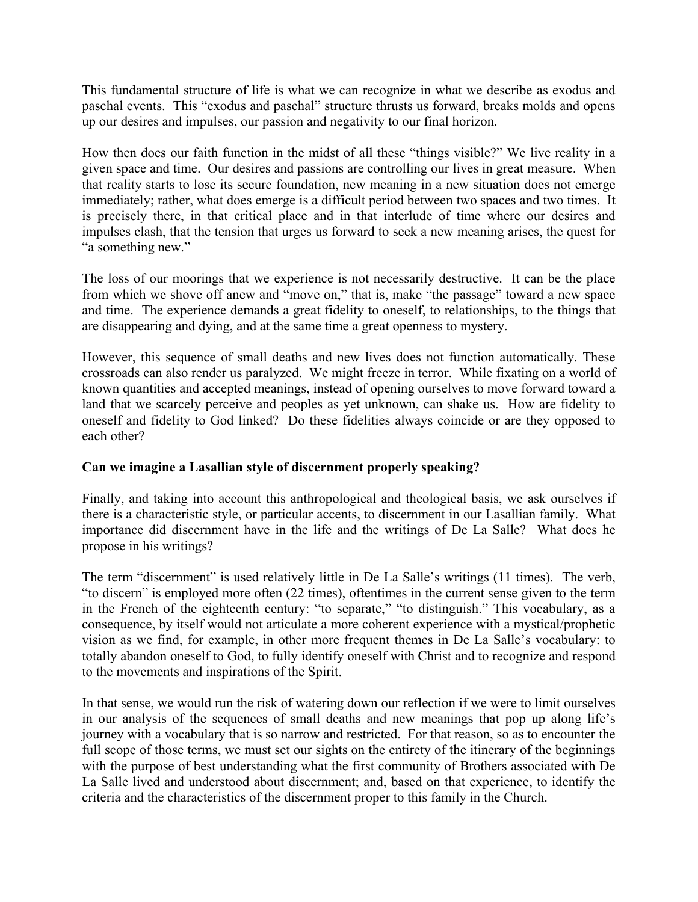This fundamental structure of life is what we can recognize in what we describe as exodus and paschal events. This "exodus and paschal" structure thrusts us forward, breaks molds and opens up our desires and impulses, our passion and negativity to our final horizon.

How then does our faith function in the midst of all these "things visible?" We live reality in a given space and time. Our desires and passions are controlling our lives in great measure. When that reality starts to lose its secure foundation, new meaning in a new situation does not emerge immediately; rather, what does emerge is a difficult period between two spaces and two times. It is precisely there, in that critical place and in that interlude of time where our desires and impulses clash, that the tension that urges us forward to seek a new meaning arises, the quest for "a something new."

The loss of our moorings that we experience is not necessarily destructive. It can be the place from which we shove off anew and "move on," that is, make "the passage" toward a new space and time. The experience demands a great fidelity to oneself, to relationships, to the things that are disappearing and dying, and at the same time a great openness to mystery.

However, this sequence of small deaths and new lives does not function automatically. These crossroads can also render us paralyzed. We might freeze in terror. While fixating on a world of known quantities and accepted meanings, instead of opening ourselves to move forward toward a land that we scarcely perceive and peoples as yet unknown, can shake us. How are fidelity to oneself and fidelity to God linked? Do these fidelities always coincide or are they opposed to each other?

# **Can we imagine a Lasallian style of discernment properly speaking?**

Finally, and taking into account this anthropological and theological basis, we ask ourselves if there is a characteristic style, or particular accents, to discernment in our Lasallian family. What importance did discernment have in the life and the writings of De La Salle? What does he propose in his writings?

The term "discernment" is used relatively little in De La Salle's writings (11 times). The verb, "to discern" is employed more often (22 times), oftentimes in the current sense given to the term in the French of the eighteenth century: "to separate," "to distinguish." This vocabulary, as a consequence, by itself would not articulate a more coherent experience with a mystical/prophetic vision as we find, for example, in other more frequent themes in De La Salle's vocabulary: to totally abandon oneself to God, to fully identify oneself with Christ and to recognize and respond to the movements and inspirations of the Spirit.

In that sense, we would run the risk of watering down our reflection if we were to limit ourselves in our analysis of the sequences of small deaths and new meanings that pop up along life's journey with a vocabulary that is so narrow and restricted. For that reason, so as to encounter the full scope of those terms, we must set our sights on the entirety of the itinerary of the beginnings with the purpose of best understanding what the first community of Brothers associated with De La Salle lived and understood about discernment; and, based on that experience, to identify the criteria and the characteristics of the discernment proper to this family in the Church.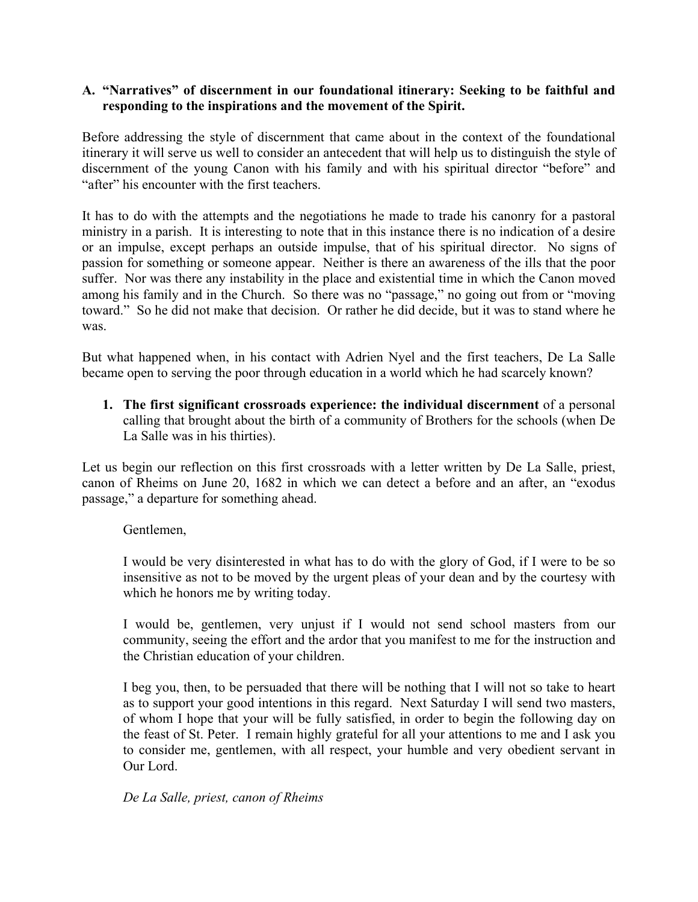# **A. "Narratives" of discernment in our foundational itinerary: Seeking to be faithful and responding to the inspirations and the movement of the Spirit.**

Before addressing the style of discernment that came about in the context of the foundational itinerary it will serve us well to consider an antecedent that will help us to distinguish the style of discernment of the young Canon with his family and with his spiritual director "before" and "after" his encounter with the first teachers.

It has to do with the attempts and the negotiations he made to trade his canonry for a pastoral ministry in a parish. It is interesting to note that in this instance there is no indication of a desire or an impulse, except perhaps an outside impulse, that of his spiritual director. No signs of passion for something or someone appear. Neither is there an awareness of the ills that the poor suffer. Nor was there any instability in the place and existential time in which the Canon moved among his family and in the Church. So there was no "passage," no going out from or "moving toward." So he did not make that decision. Or rather he did decide, but it was to stand where he was.

But what happened when, in his contact with Adrien Nyel and the first teachers, De La Salle became open to serving the poor through education in a world which he had scarcely known?

**1. The first significant crossroads experience: the individual discernment** of a personal calling that brought about the birth of a community of Brothers for the schools (when De La Salle was in his thirties).

Let us begin our reflection on this first crossroads with a letter written by De La Salle, priest, canon of Rheims on June 20, 1682 in which we can detect a before and an after, an "exodus passage," a departure for something ahead.

Gentlemen,

I would be very disinterested in what has to do with the glory of God, if I were to be so insensitive as not to be moved by the urgent pleas of your dean and by the courtesy with which he honors me by writing today.

I would be, gentlemen, very unjust if I would not send school masters from our community, seeing the effort and the ardor that you manifest to me for the instruction and the Christian education of your children.

I beg you, then, to be persuaded that there will be nothing that I will not so take to heart as to support your good intentions in this regard. Next Saturday I will send two masters, of whom I hope that your will be fully satisfied, in order to begin the following day on the feast of St. Peter. I remain highly grateful for all your attentions to me and I ask you to consider me, gentlemen, with all respect, your humble and very obedient servant in Our Lord.

### *De La Salle, priest, canon of Rheims*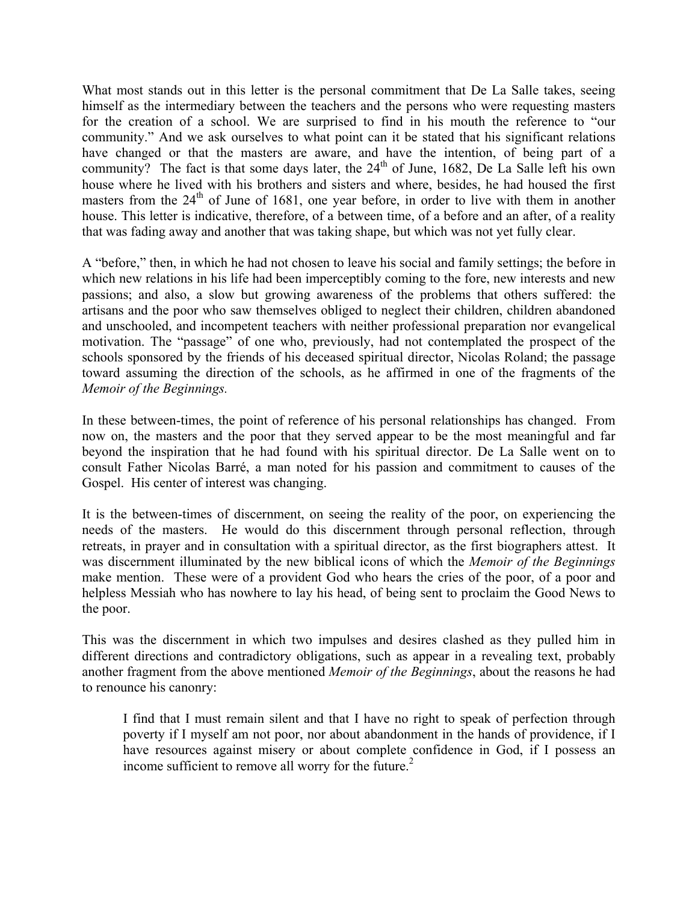What most stands out in this letter is the personal commitment that De La Salle takes, seeing himself as the intermediary between the teachers and the persons who were requesting masters for the creation of a school. We are surprised to find in his mouth the reference to "our community." And we ask ourselves to what point can it be stated that his significant relations have changed or that the masters are aware, and have the intention, of being part of a community? The fact is that some days later, the  $24<sup>th</sup>$  of June, 1682, De La Salle left his own house where he lived with his brothers and sisters and where, besides, he had housed the first masters from the  $24<sup>th</sup>$  of June of 1681, one year before, in order to live with them in another house. This letter is indicative, therefore, of a between time, of a before and an after, of a reality that was fading away and another that was taking shape, but which was not yet fully clear.

A "before," then, in which he had not chosen to leave his social and family settings; the before in which new relations in his life had been imperceptibly coming to the fore, new interests and new passions; and also, a slow but growing awareness of the problems that others suffered: the artisans and the poor who saw themselves obliged to neglect their children, children abandoned and unschooled, and incompetent teachers with neither professional preparation nor evangelical motivation. The "passage" of one who, previously, had not contemplated the prospect of the schools sponsored by the friends of his deceased spiritual director, Nicolas Roland; the passage toward assuming the direction of the schools, as he affirmed in one of the fragments of the *Memoir of the Beginnings.*

In these between-times, the point of reference of his personal relationships has changed. From now on, the masters and the poor that they served appear to be the most meaningful and far beyond the inspiration that he had found with his spiritual director. De La Salle went on to consult Father Nicolas Barré, a man noted for his passion and commitment to causes of the Gospel. His center of interest was changing.

It is the between-times of discernment, on seeing the reality of the poor, on experiencing the needs of the masters. He would do this discernment through personal reflection, through retreats, in prayer and in consultation with a spiritual director, as the first biographers attest. It was discernment illuminated by the new biblical icons of which the *Memoir of the Beginnings* make mention. These were of a provident God who hears the cries of the poor, of a poor and helpless Messiah who has nowhere to lay his head, of being sent to proclaim the Good News to the poor.

This was the discernment in which two impulses and desires clashed as they pulled him in different directions and contradictory obligations, such as appear in a revealing text, probably another fragment from the above mentioned *Memoir of the Beginnings*, about the reasons he had to renounce his canonry:

I find that I must remain silent and that I have no right to speak of perfection through poverty if I myself am not poor, nor about abandonment in the hands of providence, if I have resources against misery or about complete confidence in God, if I possess an income sufficient to remove all worry for the future.<sup>2</sup>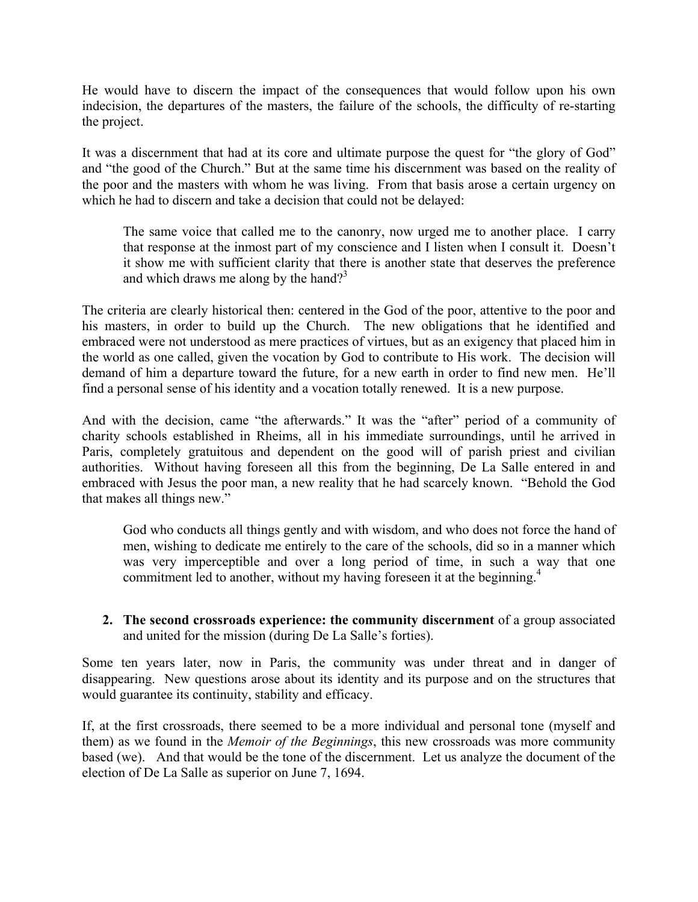He would have to discern the impact of the consequences that would follow upon his own indecision, the departures of the masters, the failure of the schools, the difficulty of re-starting the project.

It was a discernment that had at its core and ultimate purpose the quest for "the glory of God" and "the good of the Church." But at the same time his discernment was based on the reality of the poor and the masters with whom he was living. From that basis arose a certain urgency on which he had to discern and take a decision that could not be delayed:

The same voice that called me to the canonry, now urged me to another place. I carry that response at the inmost part of my conscience and I listen when I consult it. Doesn't it show me with sufficient clarity that there is another state that deserves the preference and which draws me along by the hand?<sup>3</sup>

The criteria are clearly historical then: centered in the God of the poor, attentive to the poor and his masters, in order to build up the Church. The new obligations that he identified and embraced were not understood as mere practices of virtues, but as an exigency that placed him in the world as one called, given the vocation by God to contribute to His work. The decision will demand of him a departure toward the future, for a new earth in order to find new men. He'll find a personal sense of his identity and a vocation totally renewed. It is a new purpose.

And with the decision, came "the afterwards." It was the "after" period of a community of charity schools established in Rheims, all in his immediate surroundings, until he arrived in Paris, completely gratuitous and dependent on the good will of parish priest and civilian authorities. Without having foreseen all this from the beginning, De La Salle entered in and embraced with Jesus the poor man, a new reality that he had scarcely known. "Behold the God that makes all things new."

God who conducts all things gently and with wisdom, and who does not force the hand of men, wishing to dedicate me entirely to the care of the schools, did so in a manner which was very imperceptible and over a long period of time, in such a way that one commitment led to another, without my having foreseen it at the beginning.<sup>4</sup>

**2. The second crossroads experience: the community discernment** of a group associated and united for the mission (during De La Salle's forties).

Some ten years later, now in Paris, the community was under threat and in danger of disappearing. New questions arose about its identity and its purpose and on the structures that would guarantee its continuity, stability and efficacy.

If, at the first crossroads, there seemed to be a more individual and personal tone (myself and them) as we found in the *Memoir of the Beginnings*, this new crossroads was more community based (we). And that would be the tone of the discernment. Let us analyze the document of the election of De La Salle as superior on June 7, 1694.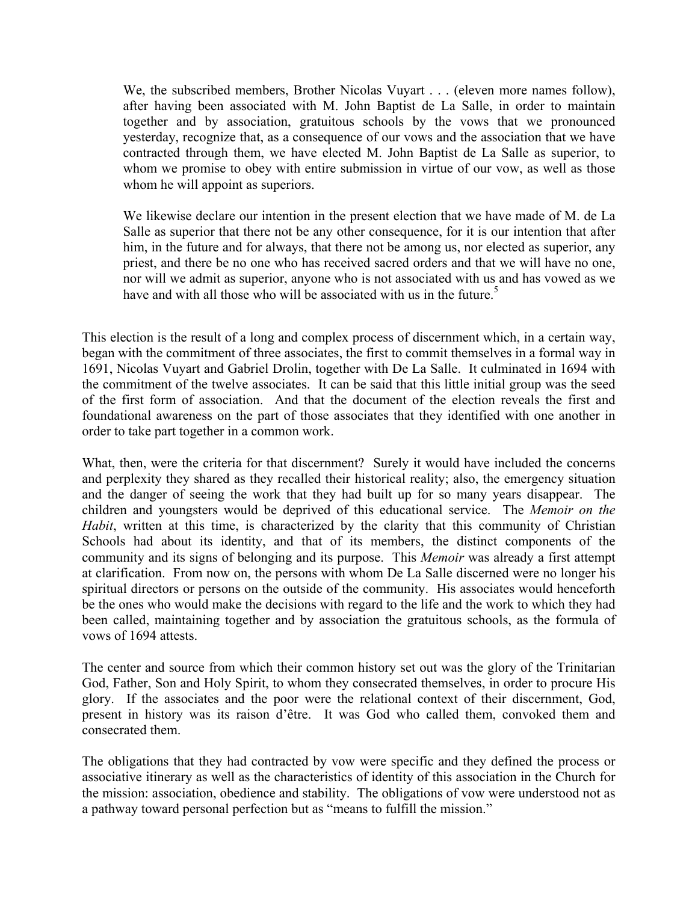We, the subscribed members, Brother Nicolas Vuyart . . . (eleven more names follow), after having been associated with M. John Baptist de La Salle, in order to maintain together and by association, gratuitous schools by the vows that we pronounced yesterday, recognize that, as a consequence of our vows and the association that we have contracted through them, we have elected M. John Baptist de La Salle as superior, to whom we promise to obey with entire submission in virtue of our vow, as well as those whom he will appoint as superiors.

We likewise declare our intention in the present election that we have made of M. de La Salle as superior that there not be any other consequence, for it is our intention that after him, in the future and for always, that there not be among us, nor elected as superior, any priest, and there be no one who has received sacred orders and that we will have no one, nor will we admit as superior, anyone who is not associated with us and has vowed as we have and with all those who will be associated with us in the future.<sup>5</sup>

This election is the result of a long and complex process of discernment which, in a certain way, began with the commitment of three associates, the first to commit themselves in a formal way in 1691, Nicolas Vuyart and Gabriel Drolin, together with De La Salle. It culminated in 1694 with the commitment of the twelve associates. It can be said that this little initial group was the seed of the first form of association. And that the document of the election reveals the first and foundational awareness on the part of those associates that they identified with one another in order to take part together in a common work.

What, then, were the criteria for that discernment? Surely it would have included the concerns and perplexity they shared as they recalled their historical reality; also, the emergency situation and the danger of seeing the work that they had built up for so many years disappear. The children and youngsters would be deprived of this educational service. The *Memoir on the Habit*, written at this time, is characterized by the clarity that this community of Christian Schools had about its identity, and that of its members, the distinct components of the community and its signs of belonging and its purpose. This *Memoir* was already a first attempt at clarification. From now on, the persons with whom De La Salle discerned were no longer his spiritual directors or persons on the outside of the community. His associates would henceforth be the ones who would make the decisions with regard to the life and the work to which they had been called, maintaining together and by association the gratuitous schools, as the formula of vows of 1694 attests.

The center and source from which their common history set out was the glory of the Trinitarian God, Father, Son and Holy Spirit, to whom they consecrated themselves, in order to procure His glory. If the associates and the poor were the relational context of their discernment, God, present in history was its raison d'être. It was God who called them, convoked them and consecrated them.

The obligations that they had contracted by vow were specific and they defined the process or associative itinerary as well as the characteristics of identity of this association in the Church for the mission: association, obedience and stability. The obligations of vow were understood not as a pathway toward personal perfection but as "means to fulfill the mission."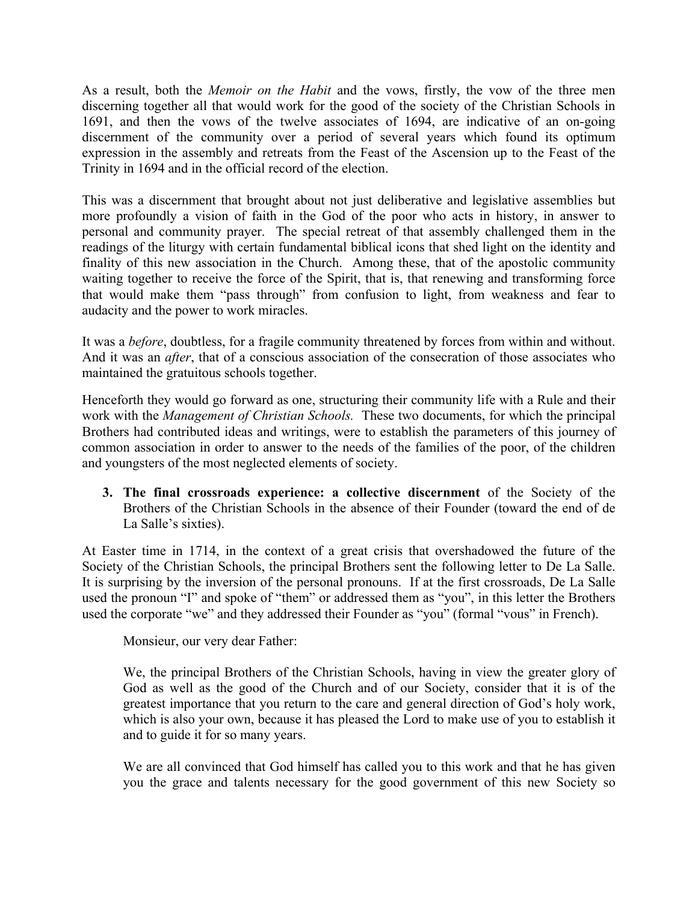As a result, both the *Memoir on the Habit* and the vows, firstly, the vow of the three men discerning together all that would work for the good of the society of the Christian Schools in 1691, and then the vows of the twelve associates of 1694, are indicative of an on-going discernment of the community over a period of several years which found its optimum expression in the assembly and retreats from the Feast of the Ascension up to the Feast of the Trinity in 1694 and in the official record of the election.

This was a discernment that brought about not just deliberative and legislative assemblies but more profoundly a vision of faith in the God of the poor who acts in history, in answer to personal and community prayer. The special retreat of that assembly challenged them in the readings of the liturgy with certain fundamental biblical icons that shed light on the identity and finality of this new association in the Church. Among these, that of the apostolic community waiting together to receive the force of the Spirit, that is, that renewing and transforming force that would make them "pass through" from confusion to light, from weakness and fear to audacity and the power to work miracles.

It was a *before*, doubtless, for a fragile community threatened by forces from within and without. And it was an *after*, that of a conscious association of the consecration of those associates who maintained the gratuitous schools together.

Henceforth they would go forward as one, structuring their community life with a Rule and their work with the *Management of Christian Schools.* These two documents, for which the principal Brothers had contributed ideas and writings, were to establish the parameters of this journey of common association in order to answer to the needs of the families of the poor, of the children and youngsters of the most neglected elements of society.

**3. The final crossroads experience: a collective discernment** of the Society of the Brothers of the Christian Schools in the absence of their Founder (toward the end of de La Salle's sixties).

At Easter time in 1714, in the context of a great crisis that overshadowed the future of the Society of the Christian Schools, the principal Brothers sent the following letter to De La Salle. It is surprising by the inversion of the personal pronouns. If at the first crossroads, De La Salle used the pronoun "I" and spoke of "them" or addressed them as "you", in this letter the Brothers used the corporate "we" and they addressed their Founder as "you" (formal "vous" in French).

Monsieur, our very dear Father:

We, the principal Brothers of the Christian Schools, having in view the greater glory of God as well as the good of the Church and of our Society, consider that it is of the greatest importance that you return to the care and general direction of God's holy work, which is also your own, because it has pleased the Lord to make use of you to establish it and to guide it for so many years.

We are all convinced that God himself has called you to this work and that he has given you the grace and talents necessary for the good government of this new Society so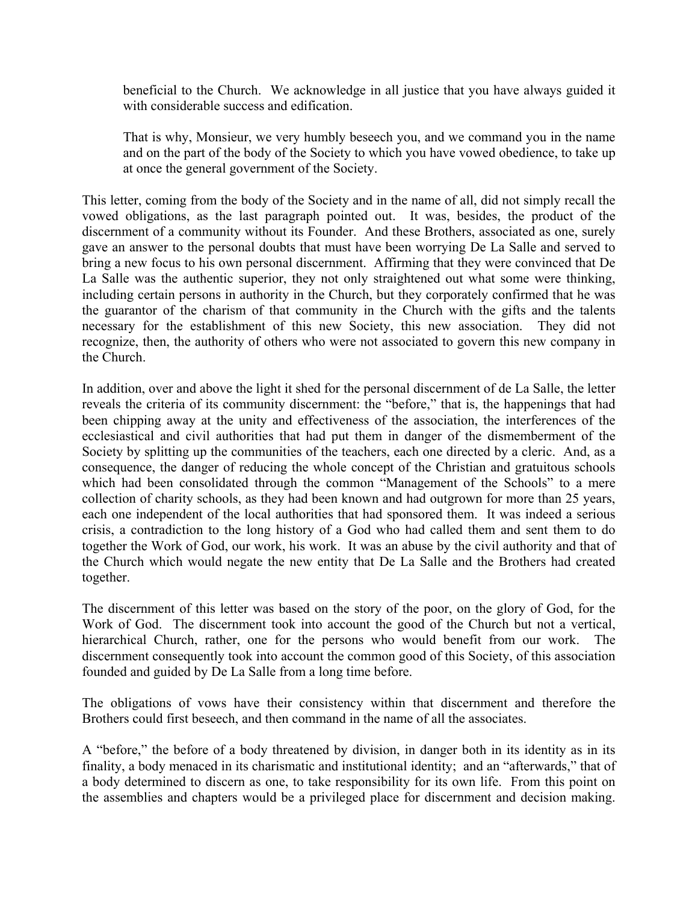beneficial to the Church. We acknowledge in all justice that you have always guided it with considerable success and edification.

That is why, Monsieur, we very humbly beseech you, and we command you in the name and on the part of the body of the Society to which you have vowed obedience, to take up at once the general government of the Society.

This letter, coming from the body of the Society and in the name of all, did not simply recall the vowed obligations, as the last paragraph pointed out. It was, besides, the product of the discernment of a community without its Founder. And these Brothers, associated as one, surely gave an answer to the personal doubts that must have been worrying De La Salle and served to bring a new focus to his own personal discernment. Affirming that they were convinced that De La Salle was the authentic superior, they not only straightened out what some were thinking, including certain persons in authority in the Church, but they corporately confirmed that he was the guarantor of the charism of that community in the Church with the gifts and the talents necessary for the establishment of this new Society, this new association. They did not recognize, then, the authority of others who were not associated to govern this new company in the Church.

In addition, over and above the light it shed for the personal discernment of de La Salle, the letter reveals the criteria of its community discernment: the "before," that is, the happenings that had been chipping away at the unity and effectiveness of the association, the interferences of the ecclesiastical and civil authorities that had put them in danger of the dismemberment of the Society by splitting up the communities of the teachers, each one directed by a cleric. And, as a consequence, the danger of reducing the whole concept of the Christian and gratuitous schools which had been consolidated through the common "Management of the Schools" to a mere collection of charity schools, as they had been known and had outgrown for more than 25 years, each one independent of the local authorities that had sponsored them. It was indeed a serious crisis, a contradiction to the long history of a God who had called them and sent them to do together the Work of God, our work, his work. It was an abuse by the civil authority and that of the Church which would negate the new entity that De La Salle and the Brothers had created together.

The discernment of this letter was based on the story of the poor, on the glory of God, for the Work of God. The discernment took into account the good of the Church but not a vertical, hierarchical Church, rather, one for the persons who would benefit from our work. discernment consequently took into account the common good of this Society, of this association founded and guided by De La Salle from a long time before.

The obligations of vows have their consistency within that discernment and therefore the Brothers could first beseech, and then command in the name of all the associates.

A "before," the before of a body threatened by division, in danger both in its identity as in its finality, a body menaced in its charismatic and institutional identity; and an "afterwards," that of a body determined to discern as one, to take responsibility for its own life. From this point on the assemblies and chapters would be a privileged place for discernment and decision making.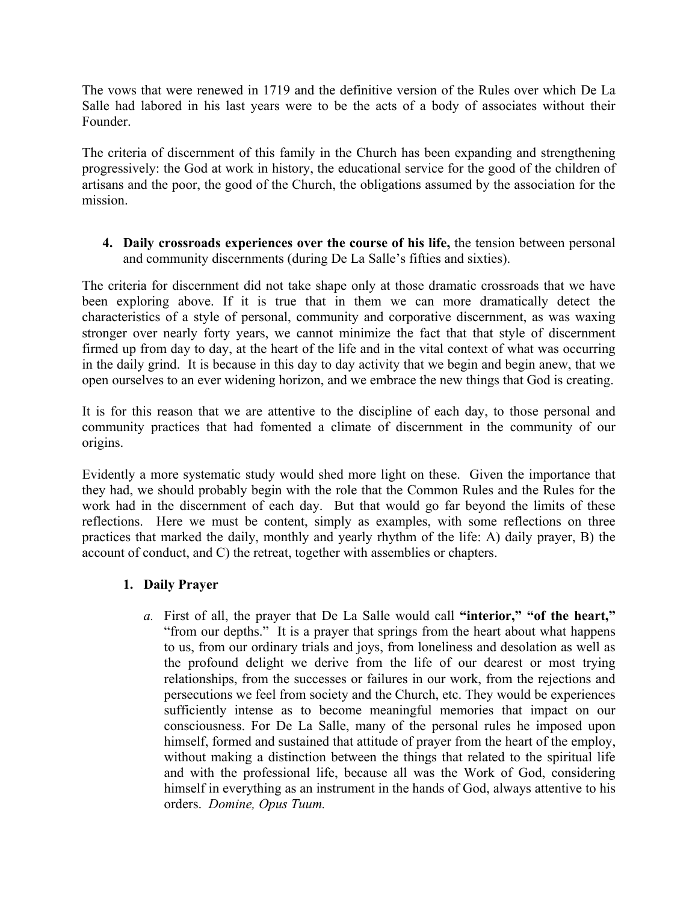The vows that were renewed in 1719 and the definitive version of the Rules over which De La Salle had labored in his last years were to be the acts of a body of associates without their Founder.

The criteria of discernment of this family in the Church has been expanding and strengthening progressively: the God at work in history, the educational service for the good of the children of artisans and the poor, the good of the Church, the obligations assumed by the association for the mission.

### **4. Daily crossroads experiences over the course of his life,** the tension between personal and community discernments (during De La Salle's fifties and sixties).

The criteria for discernment did not take shape only at those dramatic crossroads that we have been exploring above. If it is true that in them we can more dramatically detect the characteristics of a style of personal, community and corporative discernment, as was waxing stronger over nearly forty years, we cannot minimize the fact that that style of discernment firmed up from day to day, at the heart of the life and in the vital context of what was occurring in the daily grind. It is because in this day to day activity that we begin and begin anew, that we open ourselves to an ever widening horizon, and we embrace the new things that God is creating.

It is for this reason that we are attentive to the discipline of each day, to those personal and community practices that had fomented a climate of discernment in the community of our origins.

Evidently a more systematic study would shed more light on these. Given the importance that they had, we should probably begin with the role that the Common Rules and the Rules for the work had in the discernment of each day. But that would go far beyond the limits of these reflections. Here we must be content, simply as examples, with some reflections on three practices that marked the daily, monthly and yearly rhythm of the life: A) daily prayer, B) the account of conduct, and C) the retreat, together with assemblies or chapters.

# **1. Daily Prayer**

*a.* First of all, the prayer that De La Salle would call **"interior," "of the heart,"** "from our depths." It is a prayer that springs from the heart about what happens to us, from our ordinary trials and joys, from loneliness and desolation as well as the profound delight we derive from the life of our dearest or most trying relationships, from the successes or failures in our work, from the rejections and persecutions we feel from society and the Church, etc. They would be experiences sufficiently intense as to become meaningful memories that impact on our consciousness. For De La Salle, many of the personal rules he imposed upon himself, formed and sustained that attitude of prayer from the heart of the employ, without making a distinction between the things that related to the spiritual life and with the professional life, because all was the Work of God, considering himself in everything as an instrument in the hands of God, always attentive to his orders. *Domine, Opus Tuum.*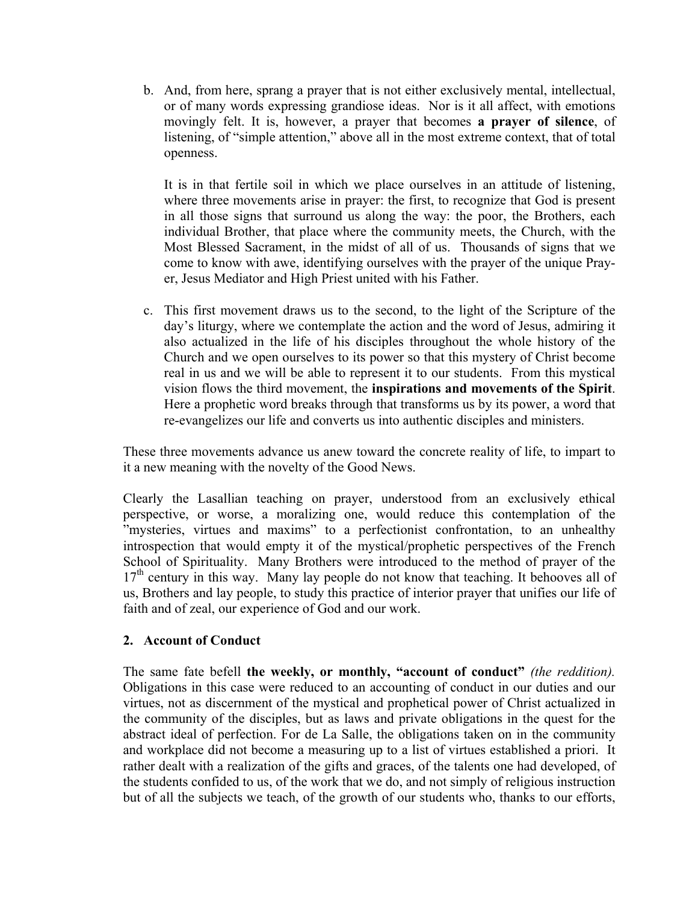b. And, from here, sprang a prayer that is not either exclusively mental, intellectual, or of many words expressing grandiose ideas. Nor is it all affect, with emotions movingly felt. It is, however, a prayer that becomes **a prayer of silence**, of listening, of "simple attention," above all in the most extreme context, that of total openness.

It is in that fertile soil in which we place ourselves in an attitude of listening, where three movements arise in prayer: the first, to recognize that God is present in all those signs that surround us along the way: the poor, the Brothers, each individual Brother, that place where the community meets, the Church, with the Most Blessed Sacrament, in the midst of all of us. Thousands of signs that we come to know with awe, identifying ourselves with the prayer of the unique Prayer, Jesus Mediator and High Priest united with his Father.

c. This first movement draws us to the second, to the light of the Scripture of the day's liturgy, where we contemplate the action and the word of Jesus, admiring it also actualized in the life of his disciples throughout the whole history of the Church and we open ourselves to its power so that this mystery of Christ become real in us and we will be able to represent it to our students. From this mystical vision flows the third movement, the **inspirations and movements of the Spirit**. Here a prophetic word breaks through that transforms us by its power, a word that re-evangelizes our life and converts us into authentic disciples and ministers.

These three movements advance us anew toward the concrete reality of life, to impart to it a new meaning with the novelty of the Good News.

Clearly the Lasallian teaching on prayer, understood from an exclusively ethical perspective, or worse, a moralizing one, would reduce this contemplation of the "mysteries, virtues and maxims" to a perfectionist confrontation, to an unhealthy introspection that would empty it of the mystical/prophetic perspectives of the French School of Spirituality. Many Brothers were introduced to the method of prayer of the  $17<sup>th</sup>$  century in this way. Many lay people do not know that teaching. It behooves all of us, Brothers and lay people, to study this practice of interior prayer that unifies our life of faith and of zeal, our experience of God and our work.

# **2. Account of Conduct**

The same fate befell **the weekly, or monthly, "account of conduct"** *(the reddition).* Obligations in this case were reduced to an accounting of conduct in our duties and our virtues, not as discernment of the mystical and prophetical power of Christ actualized in the community of the disciples, but as laws and private obligations in the quest for the abstract ideal of perfection. For de La Salle, the obligations taken on in the community and workplace did not become a measuring up to a list of virtues established a priori. It rather dealt with a realization of the gifts and graces, of the talents one had developed, of the students confided to us, of the work that we do, and not simply of religious instruction but of all the subjects we teach, of the growth of our students who, thanks to our efforts,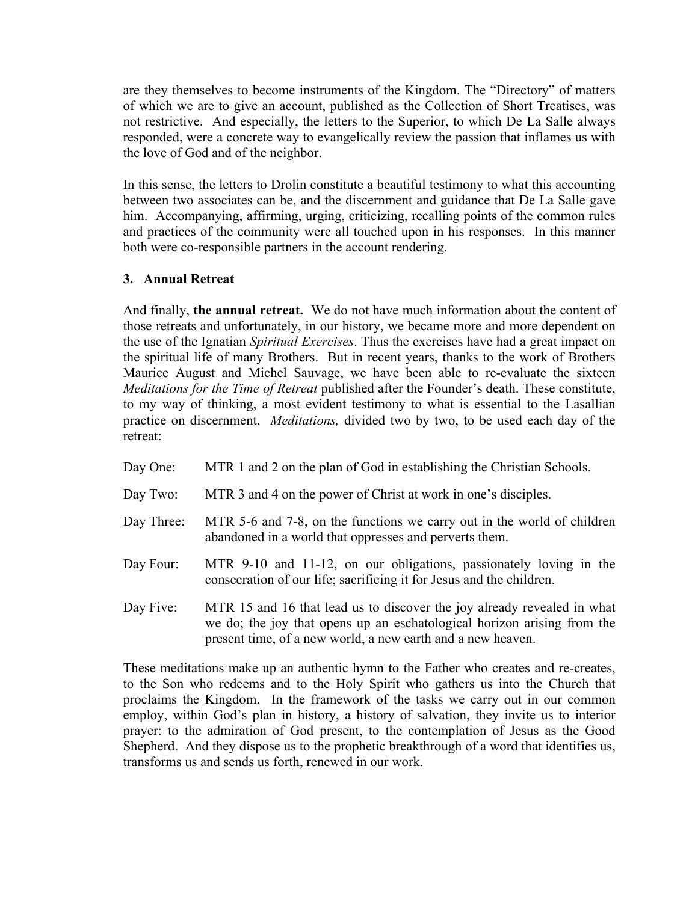are they themselves to become instruments of the Kingdom. The "Directory" of matters of which we are to give an account, published as the Collection of Short Treatises, was not restrictive. And especially, the letters to the Superior, to which De La Salle always responded, were a concrete way to evangelically review the passion that inflames us with the love of God and of the neighbor.

In this sense, the letters to Drolin constitute a beautiful testimony to what this accounting between two associates can be, and the discernment and guidance that De La Salle gave him. Accompanying, affirming, urging, criticizing, recalling points of the common rules and practices of the community were all touched upon in his responses. In this manner both were co-responsible partners in the account rendering.

# **3. Annual Retreat**

And finally, **the annual retreat.** We do not have much information about the content of those retreats and unfortunately, in our history, we became more and more dependent on the use of the Ignatian *Spiritual Exercises*. Thus the exercises have had a great impact on the spiritual life of many Brothers. But in recent years, thanks to the work of Brothers Maurice August and Michel Sauvage, we have been able to re-evaluate the sixteen *Meditations for the Time of Retreat* published after the Founder's death. These constitute, to my way of thinking, a most evident testimony to what is essential to the Lasallian practice on discernment. *Meditations,* divided two by two, to be used each day of the retreat:

- Day One: MTR 1 and 2 on the plan of God in establishing the Christian Schools.
- Day Two: MTR 3 and 4 on the power of Christ at work in one's disciples.
- Day Three: MTR 5-6 and 7-8, on the functions we carry out in the world of children abandoned in a world that oppresses and perverts them.
- Day Four: MTR 9-10 and 11-12, on our obligations, passionately loving in the consecration of our life; sacrificing it for Jesus and the children.
- Day Five: MTR 15 and 16 that lead us to discover the joy already revealed in what we do; the joy that opens up an eschatological horizon arising from the present time, of a new world, a new earth and a new heaven.

These meditations make up an authentic hymn to the Father who creates and re-creates, to the Son who redeems and to the Holy Spirit who gathers us into the Church that proclaims the Kingdom. In the framework of the tasks we carry out in our common employ, within God's plan in history, a history of salvation, they invite us to interior prayer: to the admiration of God present, to the contemplation of Jesus as the Good Shepherd. And they dispose us to the prophetic breakthrough of a word that identifies us, transforms us and sends us forth, renewed in our work.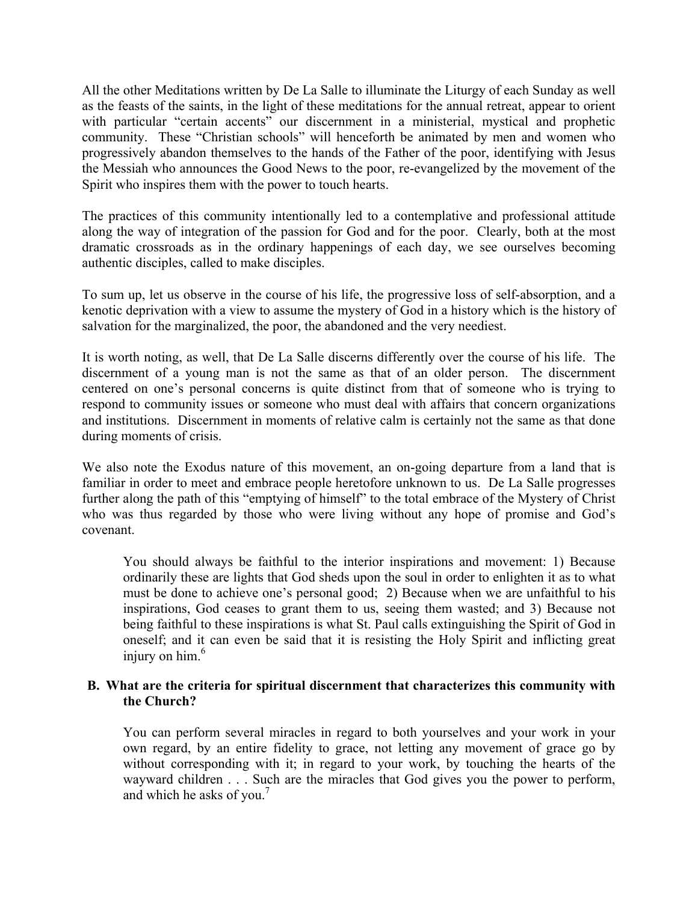All the other Meditations written by De La Salle to illuminate the Liturgy of each Sunday as well as the feasts of the saints, in the light of these meditations for the annual retreat, appear to orient with particular "certain accents" our discernment in a ministerial, mystical and prophetic community. These "Christian schools" will henceforth be animated by men and women who progressively abandon themselves to the hands of the Father of the poor, identifying with Jesus the Messiah who announces the Good News to the poor, re-evangelized by the movement of the Spirit who inspires them with the power to touch hearts.

The practices of this community intentionally led to a contemplative and professional attitude along the way of integration of the passion for God and for the poor. Clearly, both at the most dramatic crossroads as in the ordinary happenings of each day, we see ourselves becoming authentic disciples, called to make disciples.

To sum up, let us observe in the course of his life, the progressive loss of self-absorption, and a kenotic deprivation with a view to assume the mystery of God in a history which is the history of salvation for the marginalized, the poor, the abandoned and the very neediest.

It is worth noting, as well, that De La Salle discerns differently over the course of his life. The discernment of a young man is not the same as that of an older person. The discernment centered on one's personal concerns is quite distinct from that of someone who is trying to respond to community issues or someone who must deal with affairs that concern organizations and institutions. Discernment in moments of relative calm is certainly not the same as that done during moments of crisis.

We also note the Exodus nature of this movement, an on-going departure from a land that is familiar in order to meet and embrace people heretofore unknown to us. De La Salle progresses further along the path of this "emptying of himself" to the total embrace of the Mystery of Christ who was thus regarded by those who were living without any hope of promise and God's covenant.

You should always be faithful to the interior inspirations and movement: 1) Because ordinarily these are lights that God sheds upon the soul in order to enlighten it as to what must be done to achieve one's personal good; 2) Because when we are unfaithful to his inspirations, God ceases to grant them to us, seeing them wasted; and 3) Because not being faithful to these inspirations is what St. Paul calls extinguishing the Spirit of God in oneself; and it can even be said that it is resisting the Holy Spirit and inflicting great injury on  $him<sup>6</sup>$ .

# **B. What are the criteria for spiritual discernment that characterizes this community with the Church?**

You can perform several miracles in regard to both yourselves and your work in your own regard, by an entire fidelity to grace, not letting any movement of grace go by without corresponding with it; in regard to your work, by touching the hearts of the wayward children . . . Such are the miracles that God gives you the power to perform, and which he asks of you.<sup>7</sup>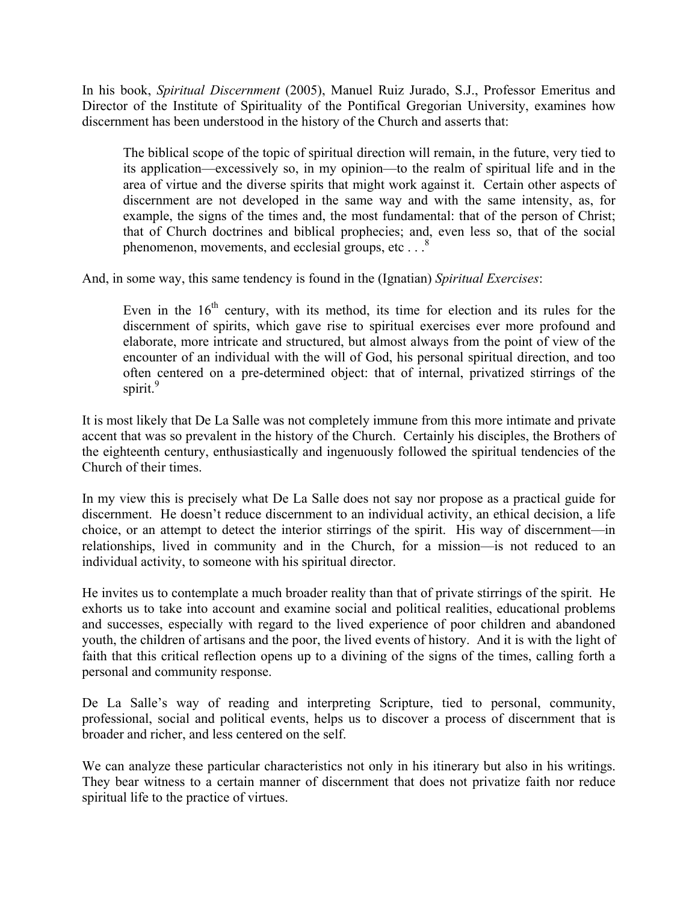In his book, *Spiritual Discernment* (2005), Manuel Ruiz Jurado, S.J., Professor Emeritus and Director of the Institute of Spirituality of the Pontifical Gregorian University, examines how discernment has been understood in the history of the Church and asserts that:

The biblical scope of the topic of spiritual direction will remain, in the future, very tied to its application—excessively so, in my opinion—to the realm of spiritual life and in the area of virtue and the diverse spirits that might work against it. Certain other aspects of discernment are not developed in the same way and with the same intensity, as, for example, the signs of the times and, the most fundamental: that of the person of Christ; that of Church doctrines and biblical prophecies; and, even less so, that of the social phenomenon, movements, and ecclesial groups, etc... $8^{8}$ 

And, in some way, this same tendency is found in the (Ignatian) *Spiritual Exercises*:

Even in the  $16<sup>th</sup>$  century, with its method, its time for election and its rules for the discernment of spirits, which gave rise to spiritual exercises ever more profound and elaborate, more intricate and structured, but almost always from the point of view of the encounter of an individual with the will of God, his personal spiritual direction, and too often centered on a pre-determined object: that of internal, privatized stirrings of the spirit.<sup>9</sup>

It is most likely that De La Salle was not completely immune from this more intimate and private accent that was so prevalent in the history of the Church. Certainly his disciples, the Brothers of the eighteenth century, enthusiastically and ingenuously followed the spiritual tendencies of the Church of their times.

In my view this is precisely what De La Salle does not say nor propose as a practical guide for discernment. He doesn't reduce discernment to an individual activity, an ethical decision, a life choice, or an attempt to detect the interior stirrings of the spirit. His way of discernment—in relationships, lived in community and in the Church, for a mission—is not reduced to an individual activity, to someone with his spiritual director.

He invites us to contemplate a much broader reality than that of private stirrings of the spirit. He exhorts us to take into account and examine social and political realities, educational problems and successes, especially with regard to the lived experience of poor children and abandoned youth, the children of artisans and the poor, the lived events of history. And it is with the light of faith that this critical reflection opens up to a divining of the signs of the times, calling forth a personal and community response.

De La Salle's way of reading and interpreting Scripture, tied to personal, community, professional, social and political events, helps us to discover a process of discernment that is broader and richer, and less centered on the self.

We can analyze these particular characteristics not only in his itinerary but also in his writings. They bear witness to a certain manner of discernment that does not privatize faith nor reduce spiritual life to the practice of virtues.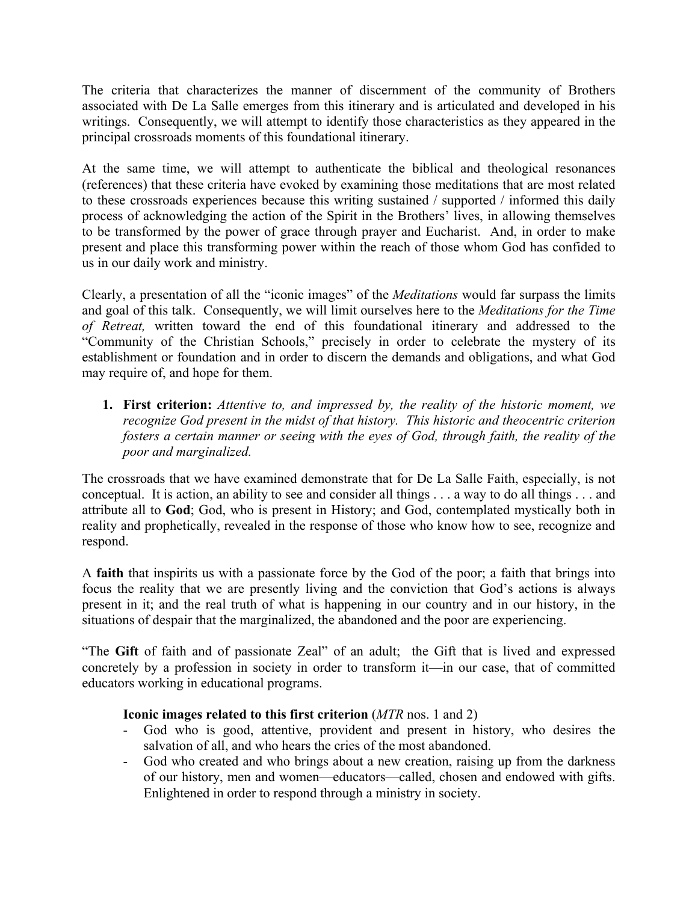The criteria that characterizes the manner of discernment of the community of Brothers associated with De La Salle emerges from this itinerary and is articulated and developed in his writings. Consequently, we will attempt to identify those characteristics as they appeared in the principal crossroads moments of this foundational itinerary.

At the same time, we will attempt to authenticate the biblical and theological resonances (references) that these criteria have evoked by examining those meditations that are most related to these crossroads experiences because this writing sustained / supported / informed this daily process of acknowledging the action of the Spirit in the Brothers' lives, in allowing themselves to be transformed by the power of grace through prayer and Eucharist. And, in order to make present and place this transforming power within the reach of those whom God has confided to us in our daily work and ministry.

Clearly, a presentation of all the "iconic images" of the *Meditations* would far surpass the limits and goal of this talk. Consequently, we will limit ourselves here to the *Meditations for the Time of Retreat,* written toward the end of this foundational itinerary and addressed to the "Community of the Christian Schools," precisely in order to celebrate the mystery of its establishment or foundation and in order to discern the demands and obligations, and what God may require of, and hope for them.

**1. First criterion:** *Attentive to, and impressed by, the reality of the historic moment, we recognize God present in the midst of that history. This historic and theocentric criterion fosters a certain manner or seeing with the eyes of God, through faith, the reality of the poor and marginalized.* 

The crossroads that we have examined demonstrate that for De La Salle Faith, especially, is not conceptual. It is action, an ability to see and consider all things . . . a way to do all things . . . and attribute all to **God**; God, who is present in History; and God, contemplated mystically both in reality and prophetically, revealed in the response of those who know how to see, recognize and respond.

A **faith** that inspirits us with a passionate force by the God of the poor; a faith that brings into focus the reality that we are presently living and the conviction that God's actions is always present in it; and the real truth of what is happening in our country and in our history, in the situations of despair that the marginalized, the abandoned and the poor are experiencing.

"The **Gift** of faith and of passionate Zeal" of an adult; the Gift that is lived and expressed concretely by a profession in society in order to transform it—in our case, that of committed educators working in educational programs.

# **Iconic images related to this first criterion** (*MTR* nos. 1 and 2)

- God who is good, attentive, provident and present in history, who desires the salvation of all, and who hears the cries of the most abandoned.
- God who created and who brings about a new creation, raising up from the darkness of our history, men and women—educators—called, chosen and endowed with gifts. Enlightened in order to respond through a ministry in society.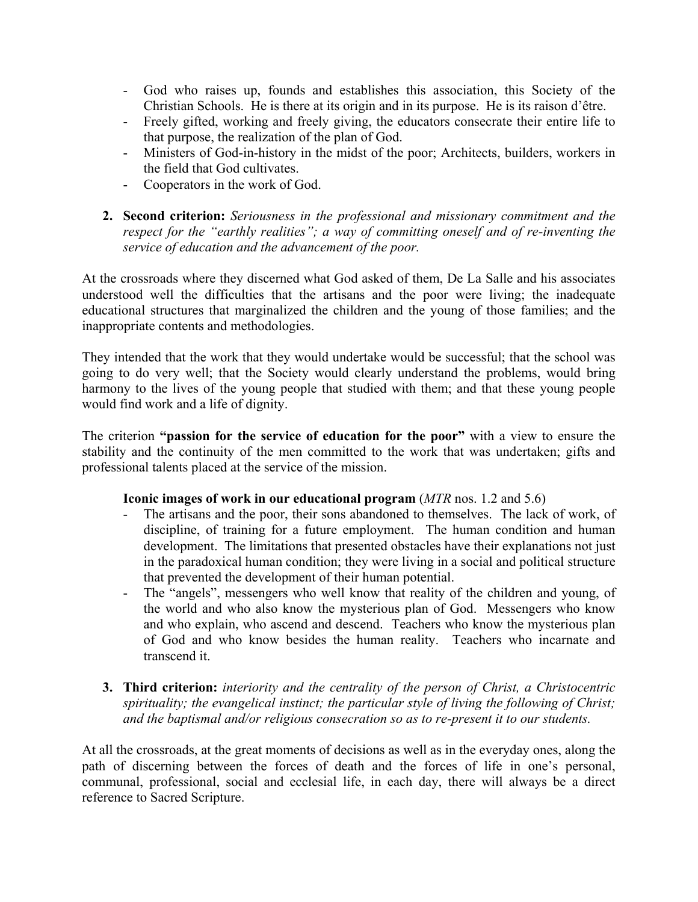- God who raises up, founds and establishes this association, this Society of the Christian Schools. He is there at its origin and in its purpose. He is its raison d'être.
- Freely gifted, working and freely giving, the educators consecrate their entire life to that purpose, the realization of the plan of God.
- Ministers of God-in-history in the midst of the poor; Architects, builders, workers in the field that God cultivates.
- Cooperators in the work of God.
- **2. Second criterion:** *Seriousness in the professional and missionary commitment and the respect for the "earthly realities"; a way of committing oneself and of re-inventing the service of education and the advancement of the poor.*

At the crossroads where they discerned what God asked of them, De La Salle and his associates understood well the difficulties that the artisans and the poor were living; the inadequate educational structures that marginalized the children and the young of those families; and the inappropriate contents and methodologies.

They intended that the work that they would undertake would be successful; that the school was going to do very well; that the Society would clearly understand the problems, would bring harmony to the lives of the young people that studied with them; and that these young people would find work and a life of dignity.

The criterion **"passion for the service of education for the poor"** with a view to ensure the stability and the continuity of the men committed to the work that was undertaken; gifts and professional talents placed at the service of the mission.

### **Iconic images of work in our educational program** (*MTR* nos. 1.2 and 5.6)

- The artisans and the poor, their sons abandoned to themselves. The lack of work, of discipline, of training for a future employment. The human condition and human development. The limitations that presented obstacles have their explanations not just in the paradoxical human condition; they were living in a social and political structure that prevented the development of their human potential.
- The "angels", messengers who well know that reality of the children and young, of the world and who also know the mysterious plan of God. Messengers who know and who explain, who ascend and descend. Teachers who know the mysterious plan of God and who know besides the human reality. Teachers who incarnate and transcend it.
- **3. Third criterion:** *interiority and the centrality of the person of Christ, a Christocentric spirituality; the evangelical instinct; the particular style of living the following of Christ; and the baptismal and/or religious consecration so as to re-present it to our students.*

At all the crossroads, at the great moments of decisions as well as in the everyday ones, along the path of discerning between the forces of death and the forces of life in one's personal, communal, professional, social and ecclesial life, in each day, there will always be a direct reference to Sacred Scripture.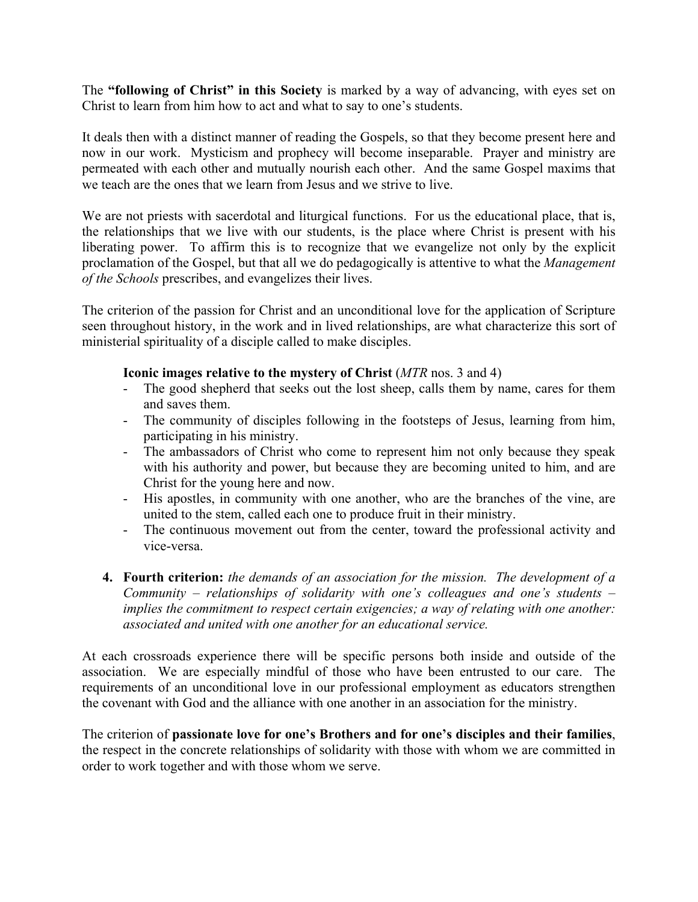The **"following of Christ" in this Society** is marked by a way of advancing, with eyes set on Christ to learn from him how to act and what to say to one's students.

It deals then with a distinct manner of reading the Gospels, so that they become present here and now in our work. Mysticism and prophecy will become inseparable. Prayer and ministry are permeated with each other and mutually nourish each other. And the same Gospel maxims that we teach are the ones that we learn from Jesus and we strive to live.

We are not priests with sacerdotal and liturgical functions. For us the educational place, that is, the relationships that we live with our students, is the place where Christ is present with his liberating power. To affirm this is to recognize that we evangelize not only by the explicit proclamation of the Gospel, but that all we do pedagogically is attentive to what the *Management of the Schools* prescribes, and evangelizes their lives.

The criterion of the passion for Christ and an unconditional love for the application of Scripture seen throughout history, in the work and in lived relationships, are what characterize this sort of ministerial spirituality of a disciple called to make disciples.

### **Iconic images relative to the mystery of Christ** (*MTR* nos. 3 and 4)

- The good shepherd that seeks out the lost sheep, calls them by name, cares for them and saves them.
- The community of disciples following in the footsteps of Jesus, learning from him, participating in his ministry.
- The ambassadors of Christ who come to represent him not only because they speak with his authority and power, but because they are becoming united to him, and are Christ for the young here and now.
- His apostles, in community with one another, who are the branches of the vine, are united to the stem, called each one to produce fruit in their ministry.
- The continuous movement out from the center, toward the professional activity and vice-versa.
- **4. Fourth criterion:** *the demands of an association for the mission. The development of a Community – relationships of solidarity with one's colleagues and one's students – implies the commitment to respect certain exigencies; a way of relating with one another: associated and united with one another for an educational service.*

At each crossroads experience there will be specific persons both inside and outside of the association. We are especially mindful of those who have been entrusted to our care. The requirements of an unconditional love in our professional employment as educators strengthen the covenant with God and the alliance with one another in an association for the ministry.

The criterion of **passionate love for one's Brothers and for one's disciples and their families**, the respect in the concrete relationships of solidarity with those with whom we are committed in order to work together and with those whom we serve.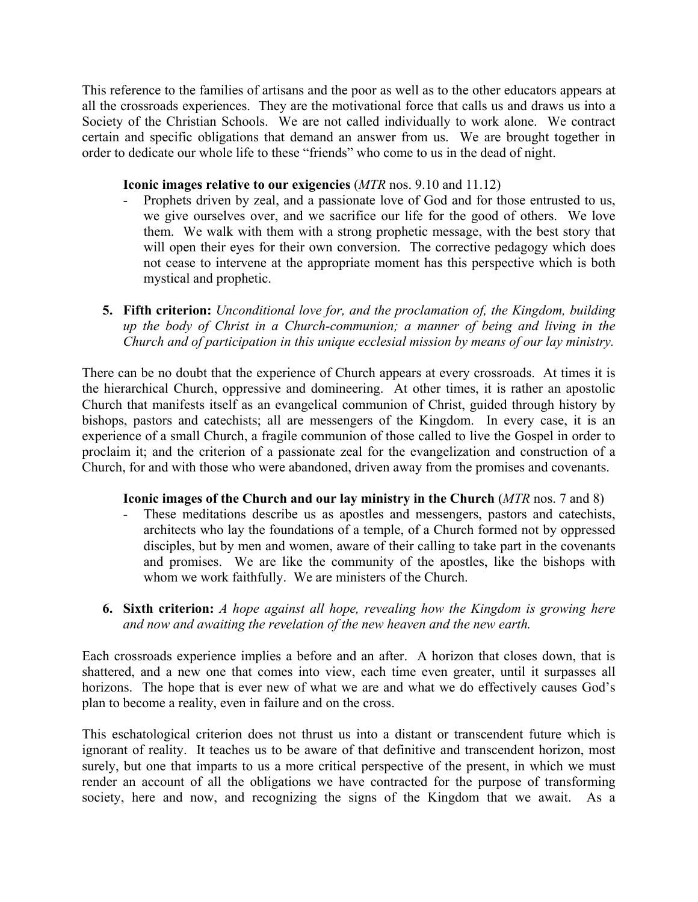This reference to the families of artisans and the poor as well as to the other educators appears at all the crossroads experiences. They are the motivational force that calls us and draws us into a Society of the Christian Schools. We are not called individually to work alone. We contract certain and specific obligations that demand an answer from us. We are brought together in order to dedicate our whole life to these "friends" who come to us in the dead of night.

### **Iconic images relative to our exigencies** (*MTR* nos. 9.10 and 11.12)

- Prophets driven by zeal, and a passionate love of God and for those entrusted to us, we give ourselves over, and we sacrifice our life for the good of others. We love them. We walk with them with a strong prophetic message, with the best story that will open their eyes for their own conversion. The corrective pedagogy which does not cease to intervene at the appropriate moment has this perspective which is both mystical and prophetic.
- **5. Fifth criterion:** *Unconditional love for, and the proclamation of, the Kingdom, building up the body of Christ in a Church-communion; a manner of being and living in the Church and of participation in this unique ecclesial mission by means of our lay ministry.*

There can be no doubt that the experience of Church appears at every crossroads. At times it is the hierarchical Church, oppressive and domineering. At other times, it is rather an apostolic Church that manifests itself as an evangelical communion of Christ, guided through history by bishops, pastors and catechists; all are messengers of the Kingdom. In every case, it is an experience of a small Church, a fragile communion of those called to live the Gospel in order to proclaim it; and the criterion of a passionate zeal for the evangelization and construction of a Church, for and with those who were abandoned, driven away from the promises and covenants.

### **Iconic images of the Church and our lay ministry in the Church** (*MTR* nos. 7 and 8)

- These meditations describe us as apostles and messengers, pastors and catechists, architects who lay the foundations of a temple, of a Church formed not by oppressed disciples, but by men and women, aware of their calling to take part in the covenants and promises. We are like the community of the apostles, like the bishops with whom we work faithfully. We are ministers of the Church.
- **6. Sixth criterion:** *A hope against all hope, revealing how the Kingdom is growing here and now and awaiting the revelation of the new heaven and the new earth.*

Each crossroads experience implies a before and an after. A horizon that closes down, that is shattered, and a new one that comes into view, each time even greater, until it surpasses all horizons. The hope that is ever new of what we are and what we do effectively causes God's plan to become a reality, even in failure and on the cross.

This eschatological criterion does not thrust us into a distant or transcendent future which is ignorant of reality. It teaches us to be aware of that definitive and transcendent horizon, most surely, but one that imparts to us a more critical perspective of the present, in which we must render an account of all the obligations we have contracted for the purpose of transforming society, here and now, and recognizing the signs of the Kingdom that we await. As a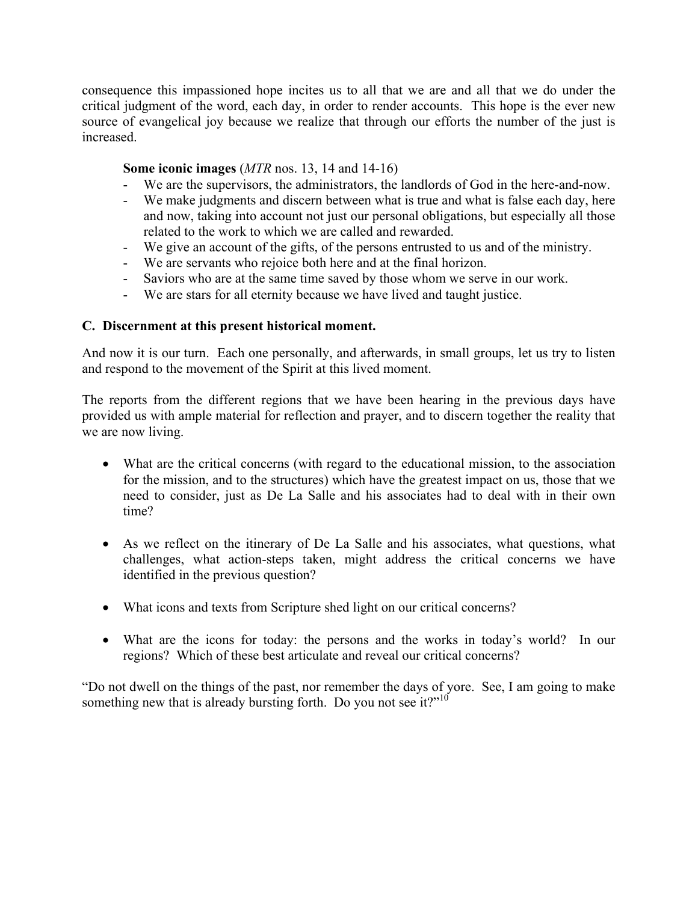consequence this impassioned hope incites us to all that we are and all that we do under the critical judgment of the word, each day, in order to render accounts. This hope is the ever new source of evangelical joy because we realize that through our efforts the number of the just is increased.

# **Some iconic images** (*MTR* nos. 13, 14 and 14-16)

- We are the supervisors, the administrators, the landlords of God in the here-and-now.
- We make judgments and discern between what is true and what is false each day, here and now, taking into account not just our personal obligations, but especially all those related to the work to which we are called and rewarded.
- We give an account of the gifts, of the persons entrusted to us and of the ministry.
- We are servants who rejoice both here and at the final horizon.
- Saviors who are at the same time saved by those whom we serve in our work.
- We are stars for all eternity because we have lived and taught justice.

### **C. Discernment at this present historical moment.**

And now it is our turn. Each one personally, and afterwards, in small groups, let us try to listen and respond to the movement of the Spirit at this lived moment.

The reports from the different regions that we have been hearing in the previous days have provided us with ample material for reflection and prayer, and to discern together the reality that we are now living.

- What are the critical concerns (with regard to the educational mission, to the association for the mission, and to the structures) which have the greatest impact on us, those that we need to consider, just as De La Salle and his associates had to deal with in their own time?
- As we reflect on the itinerary of De La Salle and his associates, what questions, what challenges, what action-steps taken, might address the critical concerns we have identified in the previous question?
- What icons and texts from Scripture shed light on our critical concerns?
- What are the icons for today: the persons and the works in today's world? In our regions? Which of these best articulate and reveal our critical concerns?

"Do not dwell on the things of the past, nor remember the days of yore. See, I am going to make something new that is already bursting forth. Do you not see it?"<sup>10</sup>